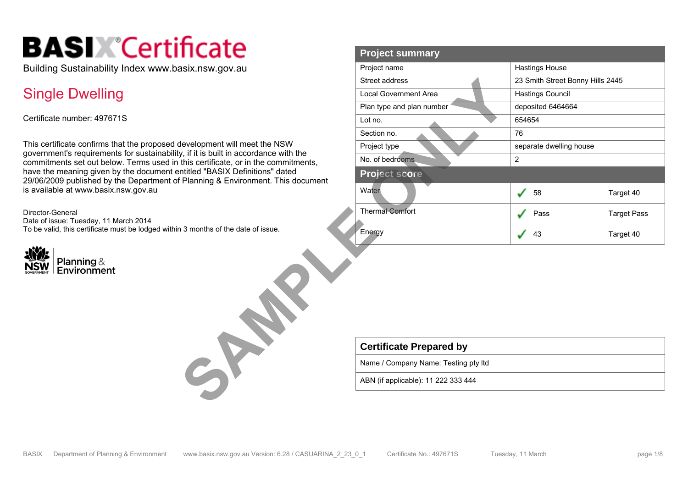# **BASIX** Certificate

Building Sustainability Index www.basix.nsw.gov.au

### Single Dwelling

Certificate number: 497671S

This certificate confirms that the proposed development will meet the NSW government's requirements for sustainability, if it is built in accordance with the commitments set out below. Terms used in this certificate, or in the commitments, have the meaning given by the document entitled "BASIX Definitions" dated 29/06/2009 published by the Department of Planning & Environment. This document is available at www.basix.nsw.gov.au

Director-General Date of issue: Tuesday, 11 March 2014 To be valid, this certificate must be lodged within 3 months of the date of issue.



| псате                                                                                | <b>Project summary</b>               |                                  |                    |
|--------------------------------------------------------------------------------------|--------------------------------------|----------------------------------|--------------------|
| asix.nsw.gov.au                                                                      | Project name                         | <b>Hastings House</b>            |                    |
|                                                                                      | Street address                       | 23 Smith Street Bonny Hills 2445 |                    |
|                                                                                      | <b>Local Government Area</b>         | <b>Hastings Council</b>          |                    |
|                                                                                      | Plan type and plan number            | deposited 6464664                |                    |
|                                                                                      | Lot no.                              | 654654                           |                    |
|                                                                                      | Section no.                          | 76                               |                    |
| development will meet the NSW                                                        | Project type                         | separate dwelling house          |                    |
| y, if it is built in accordance with the<br>this certificate, or in the commitments, | No. of bedrooms                      | $\overline{2}$                   |                    |
| ntitled "BASIX Definitions" dated<br>Planning & Environment. This document           | <b>Project score</b>                 |                                  |                    |
|                                                                                      | Water                                | 58<br>المحمل                     | Target 40          |
|                                                                                      | <b>Thermal Comfort</b>               | Pass                             | <b>Target Pass</b> |
| 13 months of the date of issue.                                                      | Energy                               | 43                               | Target 40          |
|                                                                                      |                                      |                                  |                    |
|                                                                                      | <b>Certificate Prepared by</b>       |                                  |                    |
| $\rightarrow$                                                                        | Name / Company Name: Testing pty Itd |                                  |                    |
|                                                                                      | ABN (if applicable): 11 222 333 444  |                                  |                    |
|                                                                                      |                                      |                                  |                    |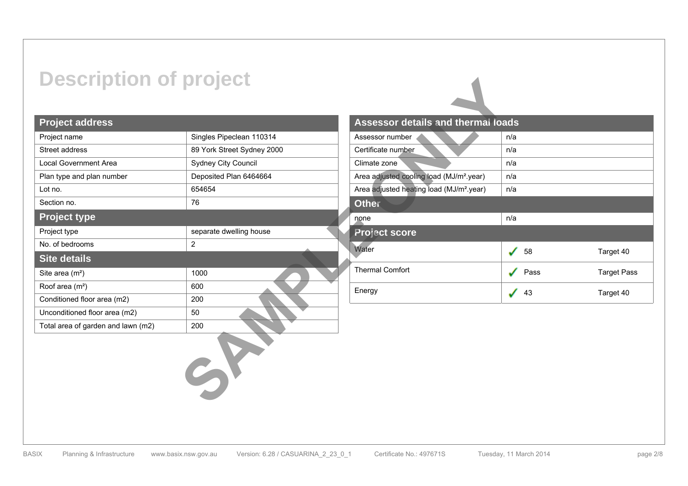## **Description of project**

#### **Project address**

| <b>Description of project</b>      |                            |                                                      |
|------------------------------------|----------------------------|------------------------------------------------------|
| <b>Project address</b>             |                            | Assessor details and thermal loa                     |
| Project name                       | Singles Pipeclean 110314   | Assessor number                                      |
| Street address                     | 89 York Street Sydney 2000 | Certificate number                                   |
| Local Government Area              | Sydney City Council        | Climate zone                                         |
| Plan type and plan number          | Deposited Plan 6464664     | Area adjusted cooling load (MJ/m <sup>2</sup> .year) |
| Lot no.                            | 654654                     | Area adjusted heating load (MJ/m <sup>2</sup> .year) |
| Section no.                        | 76                         | <b>Other</b>                                         |
| <b>Project type</b>                |                            | none                                                 |
| Project type                       | separate dwelling house    | <b>Project score</b>                                 |
| No. of bedrooms                    | $\overline{2}$             | Water                                                |
| <b>Site details</b>                |                            |                                                      |
| Site area (m <sup>2</sup> )        | 1000                       | <b>Thermal Comfort</b>                               |
| Roof area (m <sup>2</sup> )        | 600                        | Energy                                               |
| Conditioned floor area (m2)        | 200                        |                                                      |
| Unconditioned floor area (m2)      | 50                         |                                                      |
| Total area of garden and lawn (m2) | 200                        |                                                      |
|                                    |                            |                                                      |

| <b>Assessor details and thermal loads</b>            |      |             |
|------------------------------------------------------|------|-------------|
| Assessor number                                      | n/a  |             |
| Certificate number                                   | n/a  |             |
| Climate zone                                         | n/a  |             |
| Area adjusted cooling load (MJ/m <sup>2</sup> .year) | n/a  |             |
| Area adjusted heating load (MJ/m <sup>2</sup> .year) | n/a  |             |
| <b>Other</b>                                         |      |             |
| none                                                 | n/a  |             |
| <b>Project score</b>                                 |      |             |
| Water                                                | 58   | Target 40   |
| <b>Thermal Comfort</b>                               | Pass | Target Pass |
| Energy                                               | 43   | Target 40   |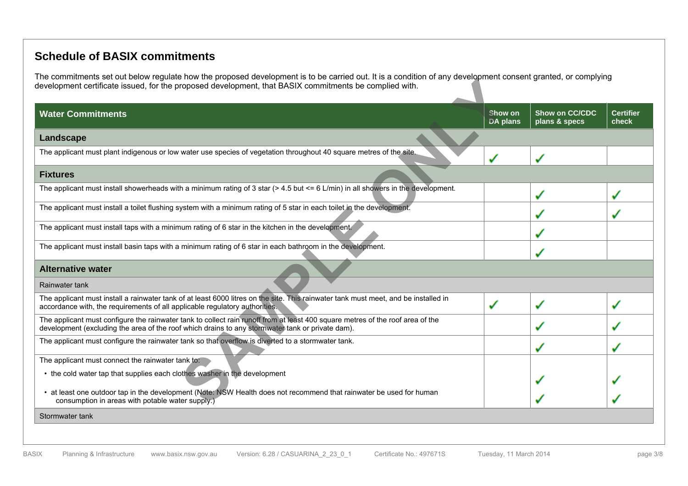#### **Schedule of BASIX commitments**

The commitments set out below regulate how the proposed development is to be carried out. It is a condition of any development consent granted, or complying development certificate issued, for the proposed development, that BASIX commitments be complied with.

| <b>Water Commitments</b>                                                                                                                                                                                                           | Show on<br><b>DA plans</b> | Show on CC/CDC<br>plans & specs | <b>Certifier</b><br>check |
|------------------------------------------------------------------------------------------------------------------------------------------------------------------------------------------------------------------------------------|----------------------------|---------------------------------|---------------------------|
| Landscape                                                                                                                                                                                                                          |                            |                                 |                           |
| The applicant must plant indigenous or low water use species of vegetation throughout 40 square metres of the site.                                                                                                                |                            | $\mathcal{L}$                   |                           |
| <b>Fixtures</b>                                                                                                                                                                                                                    |                            |                                 |                           |
| The applicant must install showerheads with a minimum rating of 3 star $(> 4.5$ but $<= 6$ L/min) in all showers in the development.                                                                                               |                            | $\mathcal{L}$                   |                           |
| The applicant must install a toilet flushing system with a minimum rating of 5 star in each toilet in the development.                                                                                                             |                            |                                 |                           |
| The applicant must install taps with a minimum rating of 6 star in the kitchen in the development.                                                                                                                                 |                            |                                 |                           |
| The applicant must install basin taps with a minimum rating of 6 star in each bathroom in the development.                                                                                                                         |                            |                                 |                           |
| <b>Alternative water</b>                                                                                                                                                                                                           |                            |                                 |                           |
| Rainwater tank                                                                                                                                                                                                                     |                            |                                 |                           |
| The applicant must install a rainwater tank of at least 6000 litres on the site. This rainwater tank must meet, and be installed in<br>accordance with, the requirements of all applicable regulatory authorities.                 |                            | $\mathbf{v}^{\prime}$           |                           |
| The applicant must configure the rainwater tank to collect rain runoff from at least 400 square metres of the roof area of the<br>development (excluding the area of the roof which drains to any stormwater tank or private dam). |                            |                                 |                           |
| The applicant must configure the rainwater tank so that overflow is diverted to a stormwater tank.                                                                                                                                 |                            |                                 |                           |
| The applicant must connect the rainwater tank to:                                                                                                                                                                                  |                            |                                 |                           |
| • the cold water tap that supplies each clothes washer in the development                                                                                                                                                          |                            |                                 |                           |
| • at least one outdoor tap in the development (Note: NSW Health does not recommend that rainwater be used for human<br>consumption in areas with potable water supply.)                                                            |                            |                                 |                           |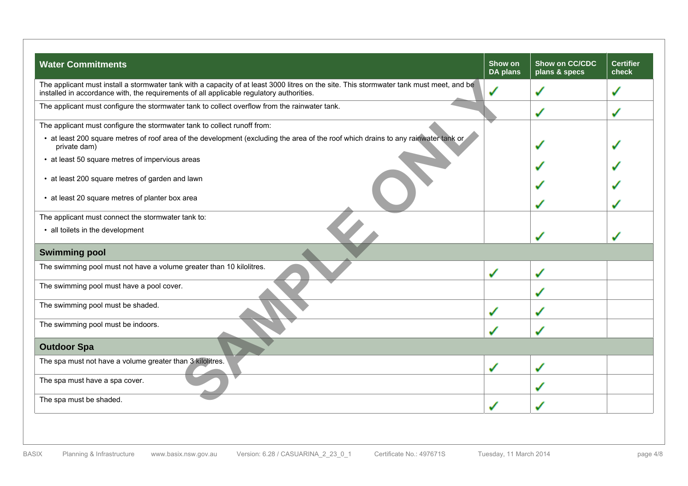| <b>Water Commitments</b>                                                                                                                                                                                                             | Show on<br>DA plans | Show on CC/CDC<br>plans & specs | <b>Certifier</b><br>check |
|--------------------------------------------------------------------------------------------------------------------------------------------------------------------------------------------------------------------------------------|---------------------|---------------------------------|---------------------------|
| The applicant must install a stormwater tank with a capacity of at least 3000 litres on the site. This stormwater tank must meet, and be<br>installed in accordance with, the requirements of all applicable regulatory authorities. | $\checkmark$        | ✔                               |                           |
| The applicant must configure the stormwater tank to collect overflow from the rainwater tank.                                                                                                                                        |                     | ✔                               | مي                        |
| The applicant must configure the stormwater tank to collect runoff from:                                                                                                                                                             |                     |                                 |                           |
| • at least 200 square metres of roof area of the development (excluding the area of the roof which drains to any rainwater tank or<br>private dam)                                                                                   |                     |                                 |                           |
| • at least 50 square metres of impervious areas                                                                                                                                                                                      |                     |                                 |                           |
| • at least 200 square metres of garden and lawn                                                                                                                                                                                      |                     |                                 |                           |
| • at least 20 square metres of planter box area                                                                                                                                                                                      |                     |                                 |                           |
| The applicant must connect the stormwater tank to:                                                                                                                                                                                   |                     |                                 |                           |
| • all toilets in the development                                                                                                                                                                                                     |                     |                                 |                           |
| <b>Swimming pool</b>                                                                                                                                                                                                                 |                     |                                 |                           |
| The swimming pool must not have a volume greater than 10 kilolitres.                                                                                                                                                                 | $\mathcal{L}$       | مممه                            |                           |
| The swimming pool must have a pool cover.                                                                                                                                                                                            |                     |                                 |                           |
| The swimming pool must be shaded.                                                                                                                                                                                                    | نی                  | می                              |                           |
| The swimming pool must be indoors.                                                                                                                                                                                                   |                     |                                 |                           |
| <b>Outdoor Spa</b>                                                                                                                                                                                                                   |                     |                                 |                           |
| The spa must not have a volume greater than 3 kilolitres.                                                                                                                                                                            | گی                  | ✔                               |                           |
| The spa must have a spa cover.                                                                                                                                                                                                       |                     |                                 |                           |
| The spa must be shaded.                                                                                                                                                                                                              |                     |                                 |                           |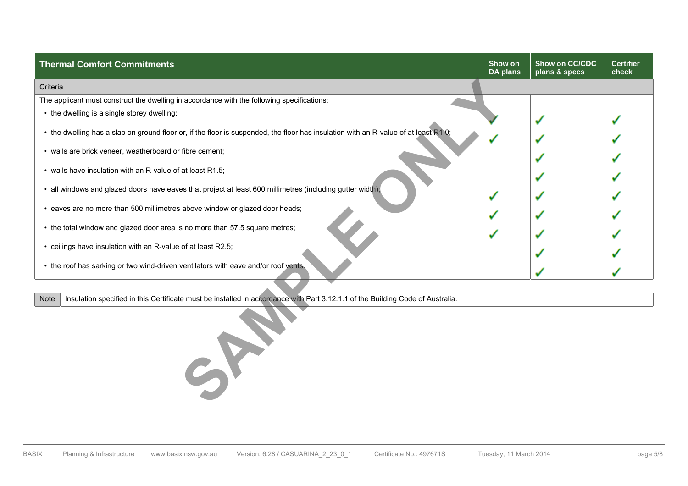| <b>Thermal Comfort Commitments</b>                                                                                                  | Show on<br>DA plans | Show on CC/CDC<br>plans & specs | <b>Certifier</b><br>check |
|-------------------------------------------------------------------------------------------------------------------------------------|---------------------|---------------------------------|---------------------------|
| Criteria                                                                                                                            |                     |                                 |                           |
| The applicant must construct the dwelling in accordance with the following specifications:                                          |                     |                                 |                           |
| • the dwelling is a single storey dwelling;                                                                                         |                     |                                 |                           |
| • the dwelling has a slab on ground floor or, if the floor is suspended, the floor has insulation with an R-value of at least R1.0; |                     |                                 |                           |
| • walls are brick veneer, weatherboard or fibre cement;                                                                             |                     |                                 |                           |
| • walls have insulation with an R-value of at least R1.5;                                                                           |                     |                                 |                           |
| • all windows and glazed doors have eaves that project at least 600 millimetres (including gutter width);                           |                     |                                 |                           |
| • eaves are no more than 500 millimetres above window or glazed door heads;                                                         |                     |                                 |                           |
| • the total window and glazed door area is no more than 57.5 square metres;                                                         |                     |                                 |                           |
| • ceilings have insulation with an R-value of at least R2.5;                                                                        |                     |                                 |                           |
| • the roof has sarking or two wind-driven ventilators with eave and/or roof vents.                                                  |                     |                                 |                           |

Note | Insulation specified in this Certificate must be installed in accordance with Part 3.12.1.1 of the Building Code of Australia.

**SAMPLE ONLY**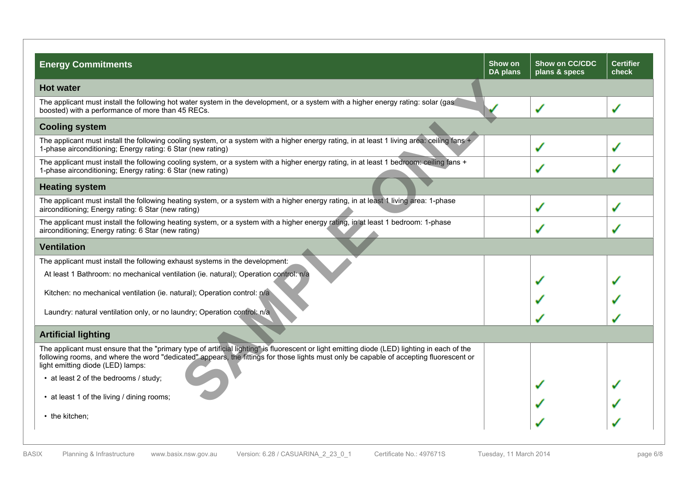| <b>Energy Commitments</b>                                                                                                                                                                                                                                                                                                     | Show on<br>DA plans | Show on CC/CDC<br>plans & specs | <b>Certifier</b><br>check |
|-------------------------------------------------------------------------------------------------------------------------------------------------------------------------------------------------------------------------------------------------------------------------------------------------------------------------------|---------------------|---------------------------------|---------------------------|
| <b>Hot water</b>                                                                                                                                                                                                                                                                                                              |                     |                                 |                           |
| The applicant must install the following hot water system in the development, or a system with a higher energy rating: solar (gas<br>boosted) with a performance of more than 45 RECs.                                                                                                                                        |                     | گی                              |                           |
| <b>Cooling system</b>                                                                                                                                                                                                                                                                                                         |                     |                                 |                           |
| The applicant must install the following cooling system, or a system with a higher energy rating, in at least 1 living area: ceiling fans +<br>1-phase airconditioning; Energy rating: 6 Star (new rating)                                                                                                                    |                     | گی                              |                           |
| The applicant must install the following cooling system, or a system with a higher energy rating, in at least 1 bedroom: ceiling fans +<br>1-phase airconditioning; Energy rating: 6 Star (new rating)                                                                                                                        |                     |                                 |                           |
| <b>Heating system</b>                                                                                                                                                                                                                                                                                                         |                     |                                 |                           |
| The applicant must install the following heating system, or a system with a higher energy rating, in at least 1 living area: 1-phase<br>airconditioning; Energy rating: 6 Star (new rating)                                                                                                                                   |                     | مممه                            |                           |
| The applicant must install the following heating system, or a system with a higher energy rating, in at least 1 bedroom: 1-phase<br>airconditioning; Energy rating: 6 Star (new rating)                                                                                                                                       |                     | گی                              |                           |
| <b>Ventilation</b>                                                                                                                                                                                                                                                                                                            |                     |                                 |                           |
| The applicant must install the following exhaust systems in the development:                                                                                                                                                                                                                                                  |                     |                                 |                           |
| At least 1 Bathroom: no mechanical ventilation (ie. natural); Operation control: n/a                                                                                                                                                                                                                                          |                     |                                 |                           |
| Kitchen: no mechanical ventilation (ie. natural); Operation control: n/a                                                                                                                                                                                                                                                      |                     |                                 |                           |
| Laundry: natural ventilation only, or no laundry; Operation control: n/a                                                                                                                                                                                                                                                      |                     |                                 |                           |
| <b>Artificial lighting</b>                                                                                                                                                                                                                                                                                                    |                     |                                 |                           |
| The applicant must ensure that the "primary type of artificial lighting" is fluorescent or light emitting diode (LED) lighting in each of the<br>following rooms, and where the word "dedicated" appears, the fittings for those lights must only be capable of accepting fluorescent or<br>light emitting diode (LED) lamps: |                     |                                 |                           |
| • at least 2 of the bedrooms / study;                                                                                                                                                                                                                                                                                         |                     |                                 |                           |
| • at least 1 of the living / dining rooms;                                                                                                                                                                                                                                                                                    |                     |                                 |                           |
| • the kitchen;                                                                                                                                                                                                                                                                                                                |                     |                                 |                           |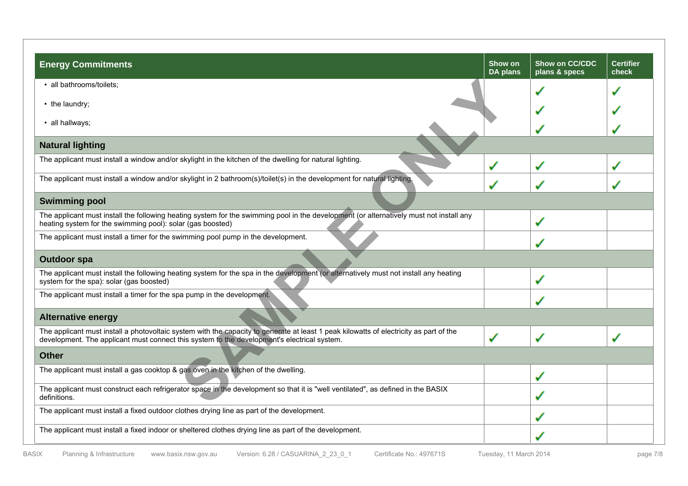| <b>Energy Commitments</b>                                                                                                                                                                                                             | Show on<br><b>DA plans</b> | Show on CC/CDC<br>plans & specs | <b>Certifier</b><br>check |
|---------------------------------------------------------------------------------------------------------------------------------------------------------------------------------------------------------------------------------------|----------------------------|---------------------------------|---------------------------|
| · all bathrooms/toilets;                                                                                                                                                                                                              |                            |                                 |                           |
| • the laundry;                                                                                                                                                                                                                        |                            |                                 |                           |
| · all hallways;                                                                                                                                                                                                                       |                            |                                 |                           |
| <b>Natural lighting</b>                                                                                                                                                                                                               |                            |                                 |                           |
| The applicant must install a window and/or skylight in the kitchen of the dwelling for natural lighting.                                                                                                                              | گی                         | گی                              |                           |
| The applicant must install a window and/or skylight in 2 bathroom(s)/toilet(s) in the development for natural lighting.                                                                                                               |                            |                                 |                           |
| <b>Swimming pool</b>                                                                                                                                                                                                                  |                            |                                 |                           |
| The applicant must install the following heating system for the swimming pool in the development (or alternatively must not install any<br>heating system for the swimming pool): solar (gas boosted)                                 |                            | $\mathbf{v}$                    |                           |
| The applicant must install a timer for the swimming pool pump in the development.                                                                                                                                                     |                            |                                 |                           |
| <b>Outdoor spa</b>                                                                                                                                                                                                                    |                            |                                 |                           |
| The applicant must install the following heating system for the spa in the development (or alternatively must not install any heating<br>system for the spa): solar (gas boosted)                                                     |                            | ✔                               |                           |
| The applicant must install a timer for the spa pump in the development.                                                                                                                                                               |                            |                                 |                           |
| <b>Alternative energy</b>                                                                                                                                                                                                             |                            |                                 |                           |
| The applicant must install a photovoltaic system with the capacity to generate at least 1 peak kilowatts of electricity as part of the<br>development. The applicant must connect this system to the development's electrical system. | گی                         | می                              |                           |
| <b>Other</b>                                                                                                                                                                                                                          |                            |                                 |                           |
| The applicant must install a gas cooktop & gas oven in the kitchen of the dwelling.                                                                                                                                                   |                            | مممه                            |                           |
| The applicant must construct each refrigerator space in the development so that it is "well ventilated", as defined in the BASIX<br>definitions.                                                                                      |                            | $\mathbf{v}$                    |                           |
| The applicant must install a fixed outdoor clothes drying line as part of the development.                                                                                                                                            |                            |                                 |                           |
| The applicant must install a fixed indoor or sheltered clothes drying line as part of the development.                                                                                                                                |                            |                                 |                           |